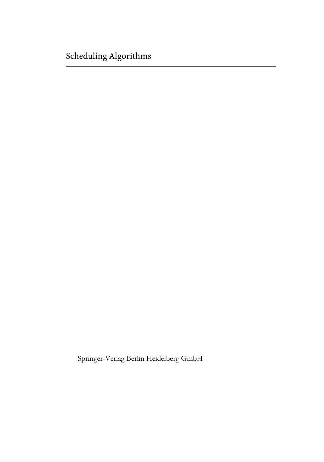Scheduling Algorithms

Springer-Verlag Berlin Heidelberg GmbH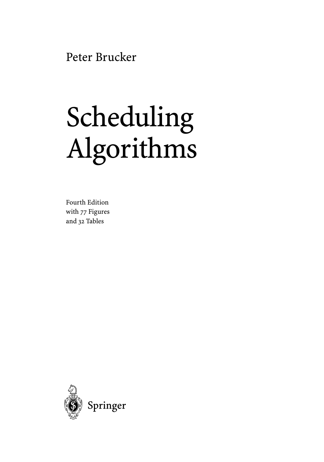Peter Brucker

# Scheduling Algorithms

Fourth Edition with 77 Figures and 32 Tables

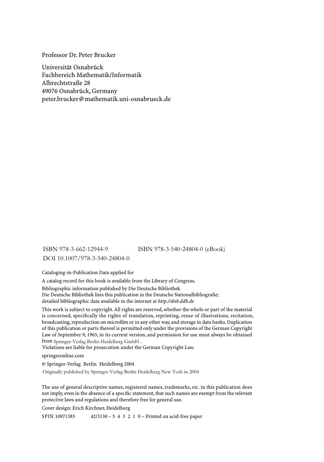Professor Dr. Peter Brucker

Universität Osnabrück Fachbereich Mathematik/Informatik Albrechtstraße 28 49076 Osnabrück, Germany peter.brucker@mathematik.uni-osnabrueck.de

ISBN 978-3-662-12944-9 ISBN 978-3-540-24804-0 (eBook) DOI 10.1007/978-3-540-24804-0

Cataloging-in-Publication Data applied for

A catalog record for this book is available from the Library of Congress.

Bibliographic information published by Die Deutsche Bibliothek Die Deutsche Bibliothek lists this publication in the Deutsche Nationalbibliografie; detailed bibliographic data available in the internet at *http.//dnb.ddb.de*

This work is subject to copyright. All rights are reserved, whether the whole or part of the material is concerned, specifically the rights of translation, reprinting, reuse of illustrations, recitation, broadcasting, reproduction on microfilm or in any other way, and storage in data banks. Duplication of this publication or parts thereof is permitted only under the provisions of the German Copyright Law of September 9, 1965, in its current version, and permission for use must always be obtained from Springer-Verlag Berlin Heidelberg GmbH.

Violations are liable for prosecution under the German Copyright Law.

springeronline.com

© Springer-Verlag Berlin Heidelberg 2004

Originally published by Springer-Verlag Berlin Heidelberg New York in 2004

The use of general descriptive names, registered names, trademarks, etc. in this publication does not imply, even in the absence of a specific statement, that such names are exempt from the relevant protective laws and regulations and therefore free for general use.

Cover design: Erich Kirchner, Heidelberg

SPIN 10971383 42/3130 – 5 4 3 2 1 0 – Printed on acid-free paper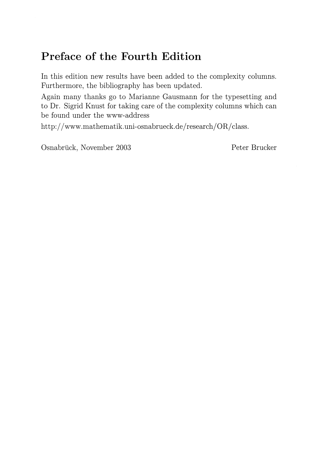#### **Preface of the Fourth Edition**

**In** this edition new results have been added to the complexity columns. Furthermore, the bibliography has been updated.

Again many thanks go to Marianne Gausmann for the typesetting and to Dr. Sigrid Knust for taking care of the complexity columns which can be found under the www-address

http://www.mathematik.uni-osnabrueck.de/research/OR/class.

Osnabriick, November 2003 Peter Brucker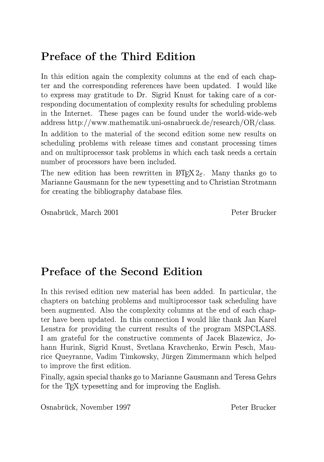#### **Preface of the Third Edition**

In this edition again the complexity columns at the end of each chapter and the corresponding references have been updated. I would like to express may gratitude to Dr. Sigrid Knust for taking care of a corresponding documentation of complexity results for scheduling problems in the Internet. These pages can be found under the world-wide-web address http://www.mathematik.uni-osnabrueck.de/research/OR/class.

In addition to the material of the second edition some new results on scheduling problems with release times and constant processing times and on multiprocessor task problems in which each task needs a certain number of processors have been included.

The new edition has been rewritten in  $\text{BTr}X 2_{\epsilon}$ . Many thanks go to Marianne Gausmann for the new typesetting and to Christian Strotmann for creating the bibliography database files.

Osnabruck, March 2001 Peter Brucker

#### **Preface of the Second Edition**

In this revised edition new material has been added. In particular, the chapters on batching problems and multiprocessor task scheduling have been augmented. Also the complexity columns at the end of each chapter have been updated. In this connection I would like thank Jan Karel Lenstra for providing the current results of the program MSPCLASS. I am grateful for the constructive comments of Jacek Blazewicz, Johann Hurink, Sigrid Knust, Svetlana Kravchenko, Erwin Pesch, Maurice Queyranne, Vadim Timkowsky, Jürgen Zimmermann which helped to improve the first edition.

Finally, again special thanks go to Marianne Gausmann and Teresa Gehrs for the T<sub>EX</sub> typesetting and for improving the English.

Osnabruck, November 1997 Peter Brucker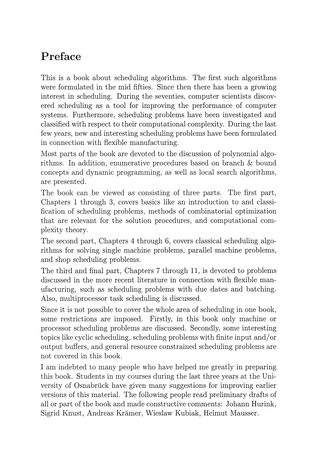### **Preface**

This is a book about scheduling algorithms. The first such algorithms were formulated in the mid fifties. Since then there has been a growing interest in scheduling. During the seventies, computer scientists discovered scheduling as a tool for improving the performance of computer systems. Furthermore, scheduling problems have been investigated and classified with respect to their computational complexity. During the last few years, new and interesting scheduling problems have been formulated in connection with flexible manufacturing.

Most parts of the book are devoted to the discussion of polynomial algorithms. **In** addition, enumerative procedures based on branch & bound concepts and dynamic programming, as well as local search algorithms, are presented.

The book can be viewed as consisting of three parts. The first part, Chapters 1 through 3, covers basics like an introduction to and classification of scheduling problems, methods of combinatorial optimization that are relevant for the solution procedures, and computational complexity theory.

The second part, Chapters 4 through 6, covers classical scheduling algorithms for solving single machine problems, parallel machine problems, and shop scheduling problems.

The third and final part, Chapters 7 through 11, is devoted to problems discussed in the more recent literature in connection with flexible manufacturing, such as scheduling problems with due dates and batching. Also, multiprocessor task scheduling is discussed.

Since it is not possible to cover the whole area of scheduling in one book, some restrictions are imposed. Firstly, in this book only machine or processor scheduling problems are discussed. Secondly, some interesting topics like cyclic scheduling, scheduling problems with finite input and/or output buffers, and general resource constrained scheduling problems are not covered in this book.

I am indebted to many people who have helped me greatly in preparing this book. Students in my courses during the last three years at the University of Osnabrück have given many suggestions for improving earlier versions of this material. The following people read preliminary drafts of all or part of the book and made constructive comments: Johann Hurink, Sigrid Knust, Andreas Kramer, Wieslaw Kubiak, Helmut Mausser.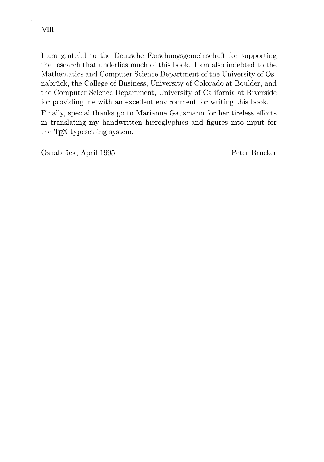I am grateful to the Deutsche Forschungsgemeinschaft for supporting the research that underlies much of this book. I am also indebted to the Mathematics and Computer Science Department of the University of Osnabrück, the College of Business, University of Colorado at Boulder, and the Computer Science Department, University of California at Riverside for providing me with an excellent environment for writing this book.

Finally, special thanks go to Marianne Gausmann for her tireless efforts in translating my handwritten hieroglyphics and figures into input for the T<sub>EX</sub> typesetting system.

Osnabrück, April 1995 Peter Brucker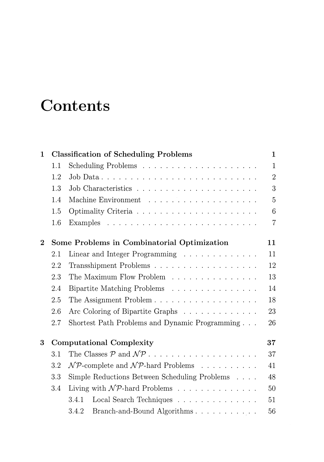## **Contents**

| $\mathbf{1}$ |                                             | <b>Classification of Scheduling Problems</b>                          | $\mathbf{1}$   |  |
|--------------|---------------------------------------------|-----------------------------------------------------------------------|----------------|--|
|              | 1.1                                         |                                                                       | $\mathbf{1}$   |  |
|              | 1.2                                         |                                                                       | $\overline{2}$ |  |
|              | 1.3                                         |                                                                       | 3              |  |
|              | 1.4                                         |                                                                       | $\overline{5}$ |  |
|              | 1.5                                         |                                                                       | 6              |  |
|              | 1.6                                         |                                                                       | $\overline{7}$ |  |
| $\bf{2}$     | Some Problems in Combinatorial Optimization |                                                                       |                |  |
|              | 2.1                                         | Linear and Integer Programming                                        | 11             |  |
|              | 2.2                                         | Transshipment Problems                                                | 12             |  |
|              | 2.3                                         | The Maximum Flow Problem                                              | 13             |  |
|              | 2.4                                         | Bipartite Matching Problems                                           | 14             |  |
|              | 2.5                                         | The Assignment Problem                                                | 18             |  |
|              | 2.6                                         | Arc Coloring of Bipartite Graphs                                      | 23             |  |
|              | 2.7                                         | Shortest Path Problems and Dynamic Programming                        | 26             |  |
| 3            |                                             | <b>Computational Complexity</b>                                       | 37             |  |
|              | 3.1                                         |                                                                       | 37             |  |
|              | 3.2                                         | $\mathcal{NP}$ -complete and $\mathcal{NP}$ -hard Problems            | 41             |  |
|              | 3.3                                         | Simple Reductions Between Scheduling Problems                         | 48             |  |
|              | 3.4                                         | Living with $\mathcal{NP}$ -hard Problems                             | 50             |  |
|              |                                             | Local Search Techniques $\ldots \ldots \ldots \ldots \ldots$<br>3.4.1 | 51             |  |
|              |                                             | 3.4.2<br>Branch-and-Bound Algorithms                                  | 56             |  |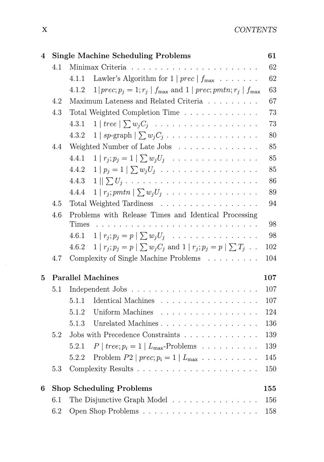| 4 |                          | <b>Single Machine Scheduling Problems</b>                                                   | 61      |  |  |
|---|--------------------------|---------------------------------------------------------------------------------------------|---------|--|--|
|   | 4.1                      |                                                                                             | 62      |  |  |
|   |                          | Lawler's Algorithm for $1   prec   f_{\text{max}}   \dots  $<br>4.1.1                       | 62      |  |  |
|   |                          | $1 prec; p_j = 1; r_j   f_{\text{max}}$ and $1   prec; pmtn; r_j   f_{\text{max}}$<br>4.1.2 | 63      |  |  |
|   | 4.2                      | Maximum Lateness and Related Criteria $\dots\dots\dots$ .                                   | 67      |  |  |
|   | 4.3                      | Total Weighted Completion Time                                                              | 73      |  |  |
|   |                          | $1   tree   \sum w_j C_j$<br>4.3.1                                                          | 73      |  |  |
|   |                          | 1   sp-graph $\sum w_j C_j$<br>4.3.2                                                        | 80      |  |  |
|   | 4.4                      | Weighted Number of Late Jobs                                                                | 85      |  |  |
|   |                          | $1   r_j; p_j = 1   \sum w_j U_j$<br>4.4.1                                                  | 85      |  |  |
|   |                          | 4.4.2 1   $p_j = 1$   $\sum w_j U_j$                                                        | 85      |  |  |
|   |                          |                                                                                             | 86      |  |  |
|   |                          | $1   r_j; pmtn   \sum w_j U_j \dots \dots \dots \dots \dots \dots \dots$<br>4.4.4           | 89      |  |  |
|   | 4.5                      | Total Weighted Tardiness                                                                    | 94      |  |  |
|   | 4.6                      | Problems with Release Times and Identical Processing                                        |         |  |  |
|   |                          | Times<br>and the contract of the contract of the contract of                                | 98      |  |  |
|   |                          | $1   r_j; p_j = p   \sum w_j U_j$<br>4.6.1                                                  | 98      |  |  |
|   |                          | $1   r_j; p_j = p   \sum w_j C_j$ and $1   r_j; p_j = p   \sum T_j$ .<br>4.6.2              | 102     |  |  |
|   | 4.7                      | Complexity of Single Machine Problems $\hfill\ldots\ldots\ldots\ldots$                      | 104     |  |  |
| 5 | <b>Parallel Machines</b> |                                                                                             |         |  |  |
|   | 5.1                      |                                                                                             | 107     |  |  |
|   |                          | 5.1.1<br>Identical Machines                                                                 | 107     |  |  |
|   |                          | 5.1.2<br>Uniform Machines                                                                   | 124     |  |  |
|   |                          | 5.1.3 Unrelated Machines                                                                    | 136     |  |  |
|   | 5.2                      |                                                                                             | 139     |  |  |
|   |                          | $P \mid tree; p_i = 1 \mid L_{\text{max}}$ -Problems<br>5.2.1                               | 139     |  |  |
|   |                          | Problem $P2   prec; p_i = 1   L_{\text{max}} \dots \dots \dots$<br>5.2.2                    | 145     |  |  |
|   | 5.3                      |                                                                                             | 150     |  |  |
| 6 |                          | <b>Shop Scheduling Problems</b>                                                             | $155\,$ |  |  |
|   | 6.1                      | The Disjunctive Graph Model                                                                 | 156     |  |  |
|   | 6.2                      |                                                                                             | 158     |  |  |
|   |                          |                                                                                             |         |  |  |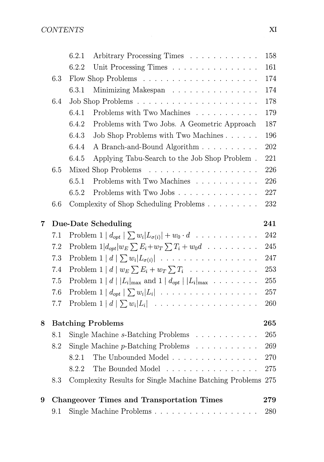|                |     | 6.2.1 | Arbitrary Processing Times                                                                          | 158 |
|----------------|-----|-------|-----------------------------------------------------------------------------------------------------|-----|
|                |     | 6.2.2 | Unit Processing Times                                                                               | 161 |
|                | 6.3 |       |                                                                                                     | 174 |
|                |     | 6.3.1 | Minimizing Makespan                                                                                 | 174 |
|                | 6.4 |       |                                                                                                     | 178 |
|                |     | 6.4.1 | Problems with Two Machines                                                                          | 179 |
|                |     | 6.4.2 | Problems with Two Jobs. A Geometric Approach                                                        | 187 |
|                |     | 6.4.3 | Job Shop Problems with Two Machines                                                                 | 196 |
|                |     | 6.4.4 | A Branch-and-Bound Algorithm                                                                        | 202 |
|                |     | 6.4.5 | Applying Tabu-Search to the Job Shop Problem.                                                       | 221 |
|                | 6.5 |       |                                                                                                     | 226 |
|                |     | 6.5.1 | Problems with Two Machines                                                                          | 226 |
|                |     | 6.5.2 | Problems with Two Jobs                                                                              | 227 |
|                | 6.6 |       | Complexity of Shop Scheduling Problems                                                              | 232 |
| $\overline{7}$ |     |       | <b>Due-Date Scheduling</b>                                                                          | 241 |
|                | 7.1 |       | Problem $1   d_{opt}   \sum w_i  L_{\sigma(i)}  + w_0 \cdot d \dots \dots \dots \dots$              | 242 |
|                | 7.2 |       | Problem $1 d_{opt} w_E\sum E_i+w_T\sum T_i+w_0d \dots \dots \dots$                                  | 245 |
|                | 7.3 |       | Problem $1  d  \sum w_i  L_{\sigma(i)} $                                                            | 247 |
|                | 7.4 |       | Problem $1   d   w_E \sum E_i + w_T \sum T_i$                                                       | 253 |
|                | 7.5 |       | Problem 1   $d \mid  L_i _{\text{max}}$ and 1   $d_{opt} \mid  L_i _{\text{max}} \dots \dots \dots$ | 255 |
|                | 7.6 |       | Problem $1   d_{opt}   \sum w_i   L_i   \ldots \ldots \ldots \ldots \ldots \ldots$                  | 257 |
|                | 7.7 |       |                                                                                                     | 260 |
| 8              |     |       | <b>Batching Problems</b>                                                                            | 265 |
|                | 8.1 |       | Single Machine s-Batching Problems $\ldots \ldots \ldots \ldots$                                    | 265 |
|                | 8.2 |       | Single Machine $p$ -Batching Problems                                                               | 269 |
|                |     | 8.2.1 | The Unbounded Model                                                                                 | 270 |
|                |     | 8.2.2 | The Bounded Model                                                                                   | 275 |
|                | 8.3 |       | Complexity Results for Single Machine Batching Problems 275                                         |     |
| 9              |     |       | <b>Changeover Times and Transportation Times</b>                                                    | 279 |
|                | 9.1 |       | Single Machine Problems                                                                             | 280 |